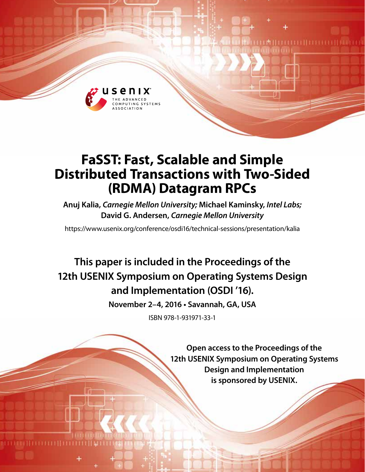

# **FaSST: Fast, Scalable and Simple Distributed Transactions with Two-Sided (RDMA) Datagram RPCs**

**Anuj Kalia,** *Carnegie Mellon University;* **Michael Kaminsky,** *Intel Labs;* **David G. Andersen,** *Carnegie Mellon University*

https://www.usenix.org/conference/osdi16/technical-sessions/presentation/kalia

**This paper is included in the Proceedings of the 12th USENIX Symposium on Operating Systems Design and Implementation (OSDI '16).**

**November 2–4, 2016 • Savannah, GA, USA**

ISBN 978-1-931971-33-1

**Open access to the Proceedings of the 12th USENIX Symposium on Operating Systems Design and Implementation is sponsored by USENIX.**

LM L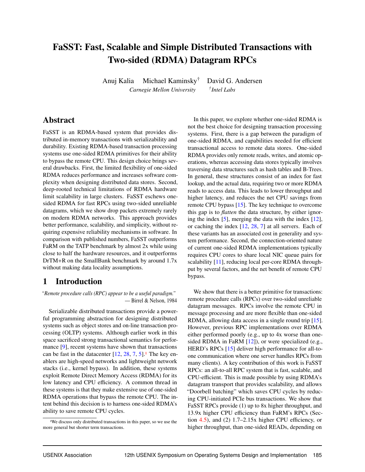## FaSST: Fast, Scalable and Simple Distributed Transactions with Two-sided (RDMA) Datagram RPCs

Anuj Kalia Michael Kaminsky† David G. Andersen *Carnegie Mellon University † Intel Labs*

### Abstract

FaSST is an RDMA-based system that provides distributed in-memory transactions with serializability and durability. Existing RDMA-based transaction processing systems use one-sided RDMA primitives for their ability to bypass the remote CPU. This design choice brings several drawbacks. First, the limited flexibility of one-sided RDMA reduces performance and increases software complexity when designing distributed data stores. Second, deep-rooted technical limitations of RDMA hardware limit scalability in large clusters. FaSST eschews onesided RDMA for fast RPCs using two-sided unreliable datagrams, which we show drop packets extremely rarely on modern RDMA networks. This approach provides better performance, scalability, and simplicity, without requiring expensive reliability mechanisms in software. In comparison with published numbers, FaSST outperforms FaRM on the TATP benchmark by almost 2x while using close to half the hardware resources, and it outperforms DrTM+R on the SmallBank benchmark by around 1.7x without making data locality assumptions.

### 1 Introduction

*"Remote procedure calls (RPC) appear to be a useful paradigm."* — Birrel & Nelson, 1984

Serializable distributed transactions provide a powerful programming abstraction for designing distributed systems such as object stores and on-line transaction processing (OLTP) systems. Although earlier work in this space sacrificed strong transactional semantics for performance [9], recent systems have shown that transactions can be fast in the datacenter  $[12, 28, 7, 5]$ .<sup>1</sup> The key enablers are high-speed networks and lightweight network stacks (i.e., kernel bypass). In addition, these systems exploit Remote Direct Memory Access (RDMA) for its low latency and CPU efficiency. A common thread in these systems is that they make extensive use of one-sided RDMA operations that bypass the remote CPU. The intent behind this decision is to harness one-sided RDMA's ability to save remote CPU cycles.

In this paper, we explore whether one-sided RDMA is not the best choice for designing transaction processing systems. First, there is a gap between the paradigm of one-sided RDMA, and capabilities needed for efficient transactional access to remote data stores. One-sided RDMA provides only remote reads, writes, and atomic operations, whereas accessing data stores typically involves traversing data structures such as hash tables and B-Trees. In general, these structures consist of an index for fast lookup, and the actual data, requiring two or more RDMA reads to access data. This leads to lower throughput and higher latency, and reduces the net CPU savings from remote CPU bypass [15]. The key technique to overcome this gap is to *flatten* the data structure, by either ignoring the index  $[5]$ , merging the data with the index  $[12]$ , or caching the index [12, 28, 7] at all servers. Each of these variants has an associated cost in generality and system performance. Second, the connection-oriented nature of current one-sided RDMA implementations typically requires CPU cores to share local NIC queue pairs for scalability [11], reducing local per-core RDMA throughput by several factors, and the net benefit of remote CPU bypass.

We show that there is a better primitive for transactions: remote procedure calls (RPCs) over two-sided unreliable datagram messages. RPCs involve the remote CPU in message processing and are more flexible than one-sided RDMA, allowing data access in a single round trip [15]. However, previous RPC implementations over RDMA either performed poorly (e.g., up to 4x worse than onesided RDMA in FaRM [12]), or were specialized (e.g., HERD's RPCs [15] deliver high performance for all-toone communication where one server handles RPCs from many clients). A key contribution of this work is FaSST RPCs: an all-to-all RPC system that is fast, scalable, and CPU-efficient. This is made possible by using RDMA's datagram transport that provides scalability, and allows "Doorbell batching" which saves CPU cycles by reducing CPU-initiated PCIe bus transactions. We show that FaSST RPCs provide (1) up to 8x higher throughput, and 13.9x higher CPU efficiency than FaRM's RPCs (Section 4.5), and (2) 1.7–2.15x higher CPU efficiency, or higher throughput, than one-sided READs, depending on

<sup>&</sup>lt;sup>1</sup>We discuss only distributed transactions in this paper, so we use the more general but shorter term transactions.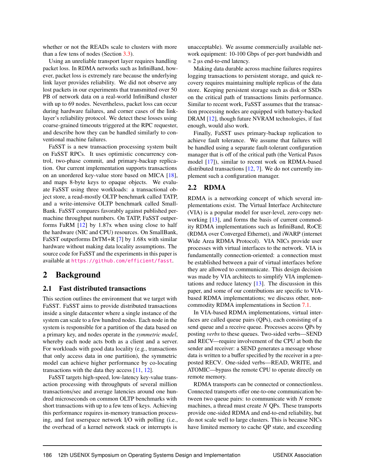whether or not the READs scale to clusters with more than a few tens of nodes (Section 3.3).

Using an unreliable transport layer requires handling packet loss. In RDMA networks such as InfiniBand, however, packet loss is extremely rare because the underlying link layer provides reliability. We did not observe any lost packets in our experiments that transmitted over 50 PB of network data on a real-world InfiniBand cluster with up to 69 nodes. Nevertheless, packet loss can occur during hardware failures, and corner cases of the linklayer's reliability protocol. We detect these losses using coarse-grained timeouts triggered at the RPC requester, and describe how they can be handled similarly to conventional machine failures.

FaSST is a new transaction processing system built on FaSST RPCs. It uses optimistic concurrency control, two-phase commit, and primary-backup replication. Our current implementation supports transactions on an unordered key-value store based on MICA [18], and maps 8-byte keys to opaque objects. We evaluate FaSST using three workloads: a transactional object store, a read-mostly OLTP benchmark called TATP, and a write-intensive OLTP benchmark called Small-Bank. FaSST compares favorably against published permachine throughput numbers. On TATP, FaSST outperforms FaRM [12] by 1.87x when using close to half the hardware (NIC and CPU) resources. On SmallBank, FaSST outperforms DrTM+R [7] by 1.68x with similar hardware without making data locality assumptions. The source code for FaSST and the experiments in this paper is available at <https://github.com/efficient/fasst>.

### 2 Background

### 2.1 Fast distributed transactions

This section outlines the environment that we target with FaSST. FaSST aims to provide distributed transactions inside a single datacenter where a single instance of the system can scale to a few hundred nodes. Each node in the system is responsible for a partition of the data based on a primary key, and nodes operate in the *symmetric model*, whereby each node acts both as a client and a server. For workloads with good data locality (e.g., transactions that only access data in one partition), the symmetric model can achieve higher performance by co-locating transactions with the data they access [11, 12].

FaSST targets high-speed, low-latency key-value transaction processing with throughputs of several million transactions/sec and average latencies around one hundred microseconds on common OLTP benchmarks with short transactions with up to a few tens of keys. Achieving this performance requires in-memory transaction processing, and fast userspace network I/O with polling (i.e., the overhead of a kernel network stack or interrupts is unacceptable). We assume commercially available network equipment: 10-100 Gbps of per-port bandwidth and  $\approx$  2 µs end-to-end latency.

Making data durable across machine failures requires logging transactions to persistent storage, and quick recovery requires maintaining multiple replicas of the data store. Keeping persistent storage such as disk or SSDs on the critical path of transactions limits performance. Similar to recent work, FaSST assumes that the transaction processing nodes are equipped with battery-backed DRAM [12], though future NVRAM technologies, if fast enough, would also work.

Finally, FaSST uses primary-backup replication to achieve fault tolerance. We assume that failures will be handled using a separate fault-tolerant configuration manager that is off of the critical path (the Vertical Paxos model [17]), similar to recent work on RDMA-based distributed transactions [12, 7]. We do not currently implement such a configuration manager.

### 2.2 RDMA

RDMA is a networking concept of which several implementations exist. The Virtual Interface Architecture (VIA) is a popular model for user-level, zero-copy networking [13], and forms the basis of current commodity RDMA implementations such as InfiniBand, RoCE (RDMA over Converged Ethernet), and iWARP (internet Wide Area RDMA Protocol). VIA NICs provide user processes with virtual interfaces to the network. VIA is fundamentally connection-oriented: a connection must be established between a pair of virtual interfaces before they are allowed to communicate. This design decision was made by VIA architects to simplify VIA implementations and reduce latency [13]. The discussion in this paper, and some of our contributions are specific to VIAbased RDMA implementations; we discuss other, noncommodity RDMA implementations in Section 7.1.

In VIA-based RDMA implementations, virtual interfaces are called queue pairs (QPs), each consisting of a send queue and a receive queue. Processes access QPs by posting *verbs* to these queues. Two-sided verbs—SEND and RECV—require involvement of the CPU at both the sender and receiver: a SEND generates a message whose data is written to a buffer specified by the receiver in a preposted RECV. One-sided verbs—READ, WRITE, and ATOMIC—bypass the remote CPU to operate directly on remote memory.

RDMA transports can be connected or connectionless. Connected transports offer one-to-one communication between two queue pairs: to communicate with *N* remote machines, a thread must create *N* QPs. These transports provide one-sided RDMA and end-to-end reliability, but do not scale well to large clusters. This is because NICs have limited memory to cache QP state, and exceeding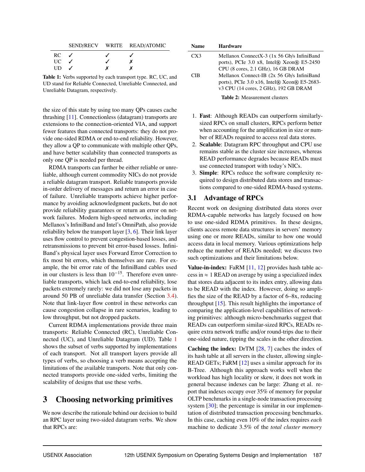|           |  | SEND/RECV WRITE READ/ATOMIC |
|-----------|--|-----------------------------|
| $RC \sim$ |  |                             |
| UC –      |  |                             |
| UD        |  |                             |

Table 1: Verbs supported by each transport type. RC, UC, and UD stand for Reliable Connected, Unreliable Connected, and Unreliable Datagram, respectively.

the size of this state by using too many QPs causes cache thrashing [11]. Connectionless (datagram) transports are extensions to the connection-oriented VIA, and support fewer features than connected transports: they do not provide one-sided RDMA or end-to-end reliability. However, they allow a QP to communicate with multiple other QPs, and have better scalability than connected transports as only one QP is needed per thread.

RDMA transports can further be either reliable or unreliable, although current commodity NICs do not provide a reliable datagram transport. Reliable transports provide in-order delivery of messages and return an error in case of failure. Unreliable transports achieve higher performance by avoiding acknowledgment packets, but do not provide reliability guarantees or return an error on network failures. Modern high-speed networks, including Mellanox's InfiniBand and Intel's OmniPath, also provide reliability below the transport layer [3, 6]. Their link layer uses flow control to prevent congestion-based losses, and retransmissions to prevent bit error-based losses. Infini-Band's physical layer uses Forward Error Correction to fix most bit errors, which themselves are rare. For example, the bit error rate of the InfiniBand cables used in our clusters is less than  $10^{-15}$ . Therefore even unreliable transports, which lack end-to-end reliability, lose packets extremely rarely: we did not lose any packets in around 50 PB of unreliable data transfer (Section 3.4). Note that link-layer flow control in these networks can cause congestion collapse in rare scenarios, leading to low throughput, but not dropped packets.

Current RDMA implementations provide three main transports: Reliable Connected (RC), Unreliable Connected (UC), and Unreliable Datagram (UD). Table 1 shows the subset of verbs supported by implementations of each transport. Not all transport layers provide all types of verbs, so choosing a verb means accepting the limitations of the available transports. Note that only connected transports provide one-sided verbs, limiting the scalability of designs that use these verbs.

## 3 Choosing networking primitives

We now describe the rationale behind our decision to build an RPC layer using two-sided datagram verbs. We show that RPCs are:

| Name | <b>Hardware</b>                                                |
|------|----------------------------------------------------------------|
| CX3  | Mellanox ConnectX-3 (1x 56 Gb/s InfiniBand                     |
|      | ports), PCIe $3.0 \times 8$ , Intel $\Re$ Xeon $\Re$ E5-2450   |
|      | CPU (8 cores, 2.1 GHz), 16 GB DRAM                             |
| CIB  | Mellanox Connect-IB (2x 56 Gb/s InfiniBand                     |
|      | ports), PCIe $3.0 \times 16$ , Intel $\Re$ Xeon $\Re$ E5-2683- |
|      | v3 CPU (14 cores, 2 GHz), 192 GB DRAM                          |
|      | <b>Table 2:</b> Measurement clusters                           |
|      |                                                                |

- 1. Fast: Although READs can outperform similarlysized RPCs on small clusters, RPCs perform better when accounting for the amplification in size or number of READs required to access real data stores.
- 2. Scalable: Datagram RPC throughput and CPU use remains stable as the cluster size increases, whereas READ performance degrades because READs must use connected transport with today's NICs.
- 3. Simple: RPCs reduce the software complexity required to design distributed data stores and transactions compared to one-sided RDMA-based systems.

### 3.1 Advantage of RPCs

Recent work on designing distributed data stores over RDMA-capable networks has largely focused on how to use one-sided RDMA primitives. In these designs, clients access remote data structures in servers' memory using one or more READs, similar to how one would access data in local memory. Various optimizations help reduce the number of READs needed; we discuss two such optimizations and their limitations below.

**Value-in-index:** FaRM  $[11, 12]$  provides hash table access in  $\approx$  1 READ on average by using a specialized index that stores data adjacent to its index entry, allowing data to be READ with the index. However, doing so amplifies the size of the READ by a factor of 6–8x, reducing throughput  $[15]$ . This result highlights the importance of comparing the application-level capabilities of networking primitives: although micro-benchmarks suggest that READs can outperform similar-sized RPCs, READs require extra network traffic and/or round-trips due to their one-sided nature, tipping the scales in the other direction.

Caching the index: DrTM [28, 7] caches the index of its hash table at all servers in the cluster, allowing single-READ GETs; FaRM [12] uses a similar approach for its B-Tree. Although this approach works well when the workload has high locality or skew, it does not work in general because indexes can be large: Zhang et al. report that indexes occupy over 35% of memory for popular OLTP benchmarks in a single-node transaction processing system [30]; the percentage is similar in our implementation of distributed transaction processing benchmarks. In this case, caching even 10% of the index requires *each* machine to dedicate 3.5% of the *total cluster memory*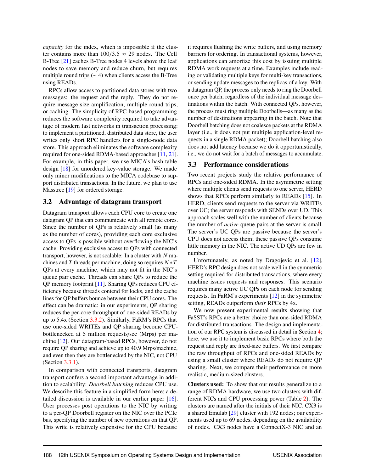*capacity* for the index, which is impossible if the cluster contains more than  $100/3.5 \approx 29$  nodes. The Cell B-Tree [21] caches B-Tree nodes 4 levels above the leaf nodes to save memory and reduce churn, but requires multiple round trips ( $\sim$  4) when clients access the B-Tree using READs.

RPCs allow access to partitioned data stores with two messages: the request and the reply. They do not require message size amplification, multiple round trips, or caching. The simplicity of RPC-based programming reduces the software complexity required to take advantage of modern fast networks in transaction processing: to implement a partitioned, distributed data store, the user writes only short RPC handlers for a single-node data store. This approach eliminates the software complexity required for one-sided RDMA-based approaches [11, 21]. For example, in this paper, we use MICA's hash table design [18] for unordered key-value storage. We made only minor modifications to the MICA codebase to support distributed transactions. In the future, we plan to use Masstree [19] for ordered storage.

### 3.2 Advantage of datagram transport

Datagram transport allows each CPU core to create one datagram QP that can communicate with all remote cores. Since the number of QPs is relatively small (as many as the number of cores), providing each core exclusive access to QPs is possible without overflowing the NIC's cache. Providing exclusive access to QPs with connected transport, however, is not scalable: In a cluster with *N* machines and *T* threads per machine, doing so requires *N* ∗*T* QPs at every machine, which may not fit in the NIC's queue pair cache. Threads can share QPs to reduce the QP memory footprint [11]. Sharing QPs reduces CPU efficiency because threads contend for locks, and the cache lines for QP buffers bounce between their CPU cores. The effect can be dramatic: in our experiments, QP sharing reduces the per-core throughput of one-sided READs by up to 5.4x (Section 3.3.2). Similarly, FaRM's RPCs that use one-sided WRITEs and QP sharing become CPUbottlenecked at 5 million requests/sec (Mrps) per machine [12]. Our datagram-based RPCs, however, do not require QP sharing and achieve up to 40.9 Mrps/machine, and even then they are bottlenecked by the NIC, not CPU (Section 3.3.1).

In comparison with connected transports, datagram transport confers a second important advantage in addition to scalability: *Doorbell batching* reduces CPU use. We describe this feature in a simplified form here; a detailed discussion is available in our earlier paper [16]. User processes post operations to the NIC by writing to a per-QP Doorbell register on the NIC over the PCIe bus, specifying the number of new operations on that QP. This write is relatively expensive for the CPU because

it requires flushing the write buffers, and using memory barriers for ordering. In transactional systems, however, applications can amortize this cost by issuing multiple RDMA work requests at a time. Examples include reading or validating multiple keys for multi-key transactions, or sending update messages to the replicas of a key. With a datagram QP, the process only needs to ring the Doorbell once per batch, regardless of the individual message destinations within the batch. With connected QPs, however, the process must ring multiple Doorbells—as many as the number of destinations appearing in the batch. Note that Doorbell batching does not coalesce packets at the RDMA layer (i.e., it does not put multiple application-level requests in a single RDMA packet); Doorbell batching also does not add latency because we do it opportunistically, i.e., we do not wait for a batch of messages to accumulate.

### 3.3 Performance considerations

Two recent projects study the relative performance of RPCs and one-sided RDMA. In the asymmetric setting where multiple clients send requests to one server, HERD shows that RPCs perform similarly to READs [15]. In HERD, clients send requests to the server via WRITEs over UC; the server responds with SENDs over UD. This approach scales well with the number of clients because the number of *active* queue pairs at the server is small. The server's UC QPs are passive because the server's CPU does not access them; these passive QPs consume little memory in the NIC. The active UD QPs are few in number.

Unfortunately, as noted by Dragojevic et al. [12], HERD's RPC design does not scale well in the symmetric setting required for distributed transactions, where every machine issues requests and responses. This scenario requires many active UC QPs on each node for sending requests. In FaRM's experiments [12] in the symmetric setting, READs outperform *their* RPCs by 4x.

We now present experimental results showing that FaSST's RPCs are a better choice than one-sided RDMA for distributed transactions. The design and implementation of our RPC system is discussed in detail in Section 4; here, we use it to implement basic RPCs where both the request and reply are fixed-size buffers. We first compare the raw throughput of RPCs and one-sided READs by using a small cluster where READs do not require QP sharing. Next, we compare their performance on more realistic, medium-sized clusters.

Clusters used: To show that our results generalize to a range of RDMA hardware, we use two clusters with different NICs and CPU processing power (Table 2). The clusters are named after the initials of their NIC. CX3 is a shared Emulab [29] cluster with 192 nodes; our experiments used up to 69 nodes, depending on the availability of nodes. CX3 nodes have a ConnectX-3 NIC and an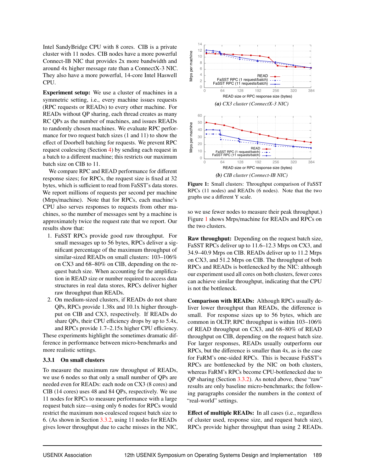Intel SandyBridge CPU with 8 cores. CIB is a private cluster with 11 nodes. CIB nodes have a more powerful Connect-IB NIC that provides 2x more bandwidth and around 4x higher message rate than a ConnectX-3 NIC. They also have a more powerful, 14-core Intel Haswell CPU.

**Experiment setup:** We use a cluster of machines in a symmetric setting, *i.e.*, every machine issues requests (RPC requests or READs) to every other machine. For READs without QP sharing, each thread creates as many RC QPs as the number of machines, and issues READs to randomly chosen machines. We evaluate RPC performance for two request batch sizes (1 and 11) to show the effect of Doorbell batching for requests. We prevent RPC request coalescing (Section 4) by sending each request in a batch to a different machine; this restricts our maximum batch size on CIB to 11.

We compare RPC and READ performance for different response sizes; for RPCs, the request size is fixed at 32 bytes, which is sufficient to read from FaSST's data stores. We report millions of requests per second per machine (Mrps/machine). Note that for RPCs, each machine's CPU also serves responses to requests from other machines, so the number of messages sent by a machine is approximately twice the request rate that we report. Our results show that:

- 1. FaSST RPCs provide good raw throughput. For small messages up to 56 bytes, RPCs deliver a significant percentage of the maximum throughput of similar-sized READs on small clusters: 103-106% on CX3 and 68–80% on CIB, depending on the request batch size. When accounting for the amplification in READ size or number required to access data structures in real data stores, RPCs deliver higher raw throughput than READs.
- 2. On medium-sized clusters, if READs do not share QPs, RPCs provide 1.38x and 10.1x higher throughput on CIB and CX3, respectively. If READs do share QPs, their CPU efficiency drops by up to 5.4x, and RPCs provide 1.7–2.15x higher CPU efficiency.

These experiments highlight the sometimes dramatic difference in performance between micro-benchmarks and more realistic settings.

### 3.3.1 On small clusters

To measure the maximum raw throughput of READs, we use 6 nodes so that only a small number of QPs are needed even for READs: each node on CX3 (8 cores) and CIB (14 cores) uses 48 and 84 OPs, respectively. We use 11 nodes for RPCs to measure performance with a large request batch size—using only 6 nodes for RPCs would restrict the maximum non-coalesced request batch size to 6. (As shown in Section 3.3.2, using 11 nodes for READs gives lower throughput due to cache misses in the NIC,



Figure 1: Small clusters: Throughput comparison of FaSST RPCs (11 nodes) and READs (6 nodes). Note that the two graphs use a different Y scale.

so we use fewer nodes to measure their peak throughput.) Figure 1 shows Mrps/machine for READs and RPCs on the two clusters.

Raw throughput: Depending on the request batch size, FaSST RPCs deliver up to 11.6–12.3 Mrps on CX3, and 34.9–40.9 Mrps on CIB. READs deliver up to 11.2 Mrps on CX3, and 51.2 Mrps on CIB. The throughput of both RPCs and READs is bottlenecked by the NIC: although our experiment used all cores on both clusters, fewer cores can achieve similar throughput, indicating that the CPU is not the bottleneck.

Comparison with READs: Although RPCs usually deliver lower throughput than READs, the difference is small. For response sizes up to 56 bytes, which are common in OLTP, RPC throughput is within 103–106% of READ throughput on CX3, and 68-80% of READ throughput on CIB, depending on the request batch size. For larger responses, READs usually outperform our RPCs, but the difference is smaller than 4x, as is the case for FaRM's one-sided RPCs. This is because FaSST's RPCs are bottlenecked by the NIC on both clusters, whereas FaRM's RPCs become CPU-bottlenecked due to QP sharing (Section 3.3.2). As noted above, these "raw" results are only baseline micro-benchmarks; the following paragraphs consider the numbers in the context of "real-world" settings.

**Effect of multiple READs:** In all cases (i.e., regardless of cluster used, response size, and request batch size), RPCs provide higher throughput than using 2 READs.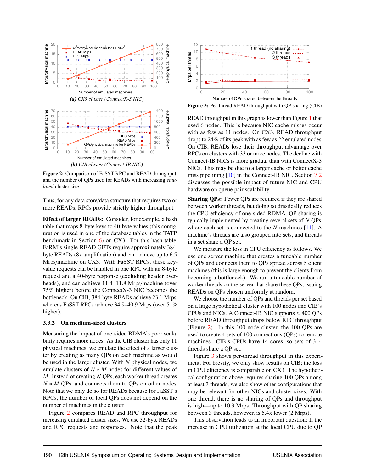

Figure 2: Comparison of FaSST RPC and READ throughput, and the number of QPs used for READs with increasing emulated cluster size.

Thus, for any data store/data structure that requires two or more READs, RPCs provide strictly higher throughput.

Effect of larger READs: Consider, for example, a hash table that maps 8-byte keys to 40-byte values (this configuration is used in one of the database tables in the TATP benchmark in Section  $6$ ) on CX3. For this hash table, FaRM's single-READ GETs require approximately 384byte READs (8x amplification) and can achieve up to 6.5 Mrps/machine on CX3. With FaSST RPCs, these keyvalue requests can be handled in one RPC with an 8-byte request and a 40-byte response (excluding header overheads), and can achieve 11.4–11.8 Mrps/machine (over 75% higher) before the ConnectX-3 NIC becomes the bottleneck. On CIB, 384-byte READs achieve 23.1 Mrps, whereas FaSST RPCs achieve 34.9-40.9 Mrps (over 51%) higher).

### 3.3.2 On medium-sized clusters

Measuring the impact of one-sided RDMA's poor scalability requires more nodes. As the CIB cluster has only 11 physical machines, we emulate the effect of a larger cluster by creating as many QPs on each machine as would be used in the larger cluster. With  $N$  physical nodes, we emulate clusters of  $N * M$  nodes for different values of  $M$ . Instead of creating  $N$  QPs, each worker thread creates  $N * M$  QPs, and connects them to QPs on other nodes. Note that we only do so for READs because for FaSST's RPCs, the number of local QPs does not depend on the number of machines in the cluster.

Figure 2 compares READ and RPC throughput for increasing emulated cluster sizes. We use 32-byte READs and RPC requests and responses. Note that the peak



Figure 3: Per-thread READ throughput with QP sharing (CIB)

READ throughput in this graph is lower than Figure 1 that used 6 nodes. This is because NIC cache misses occur with as few as 11 nodes. On CX3, READ throughput drops to 24% of its peak with as few as 22 emulated nodes. On CIB, READs lose their throughput advantage over RPCs on clusters with 33 or more nodes. The decline with Connect-IB NICs is more gradual than with ConnectX-3 NICs. This may be due to a larger cache or better cache miss pipelining  $[10]$  in the Connect-IB NIC. Section 7.2 discusses the possible impact of future NIC and CPU hardware on queue pair scalability.

**Sharing QPs:** Fewer QPs are required if they are shared between worker threads, but doing so drastically reduces the CPU efficiency of one-sided RDMA. QP sharing is typically implemented by creating several sets of N QPs, where each set is connected to the  $N$  machines [11]. A machine's threads are also grouped into sets, and threads in a set share a QP set.

We measure the loss in CPU efficiency as follows. We use one server machine that creates a tuneable number of QPs and connects them to QPs spread across 5 client machines (this is large enough to prevent the clients from becoming a bottleneck). We run a tuneable number of worker threads on the server that share these QPs, issuing READs on QPs chosen uniformly at random.

We choose the number of QPs and threads per set based on a large hypothetical cluster with 100 nodes and CIB's CPUs and NICs. A Connect-IB NIC supports  $\approx 400$  QPs before READ throughput drops below RPC throughput (Figure 2). In this 100-node cluster, the 400 QPs are used to create 4 sets of 100 connections (QPs) to remote machines. CIB's CPUs have 14 cores, so sets of 3–4 threads share a QP set.

Figure 3 shows per-thread throughput in this experiment. For brevity, we only show results on CIB; the loss in CPU efficiency is comparable on CX3. The hypothetical configuration above requires sharing 100 QPs among at least 3 threads; we also show other configurations that may be relevant for other NICs and cluster sizes. With one thread, there is no sharing of QPs and throughput is high—up to 10.9 Mrps. Throughput with QP sharing between 3 threads, however, is 5.4x lower (2 Mrps).

This observation leads to an important question: If the increase in CPU utilization at the local CPU due to QP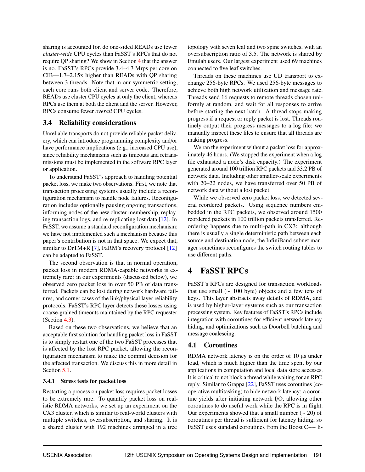sharing is accounted for, do one-sided READs use fewer *cluster-wide* CPU cycles than FaSST's RPCs that do not require QP sharing? We show in Section 4 that the answer is no. FaSST's RPCs provide 3.4–4.3 Mrps per core on CIB—1.7–2.15x higher than READs with QP sharing between 3 threads. Note that in our symmetric setting, each core runs both client and server code. Therefore, READs use cluster CPU cycles at only the client, whereas RPCs use them at both the client and the server. However, RPCs consume fewer *overall* CPU cycles.

### 3.4 Reliability considerations

Unreliable transports do not provide reliable packet delivery, which can introduce programming complexity and/or have performance implications (e.g., increased CPU use), since reliability mechanisms such as timeouts and retransmissions must be implemented in the software RPC layer or application.

To understand FaSST's approach to handling potential packet loss, we make two observations. First, we note that transaction processing systems usually include a reconfiguration mechanism to handle node failures. Reconfiguration includes optionally pausing ongoing transactions, informing nodes of the new cluster membership, replaying transaction logs, and re-replicating lost data [12]. In FaSST, we assume a standard reconfiguration mechanism; we have not implemented such a mechanism because this paper's contribution is not in that space. We expect that, similar to DrTM+R  $[7]$ , FaRM's recovery protocol  $[12]$ can be adapted to FaSST.

The second observation is that in normal operation, packet loss in modern RDMA-capable networks is extremely rare: in our experiments (discussed below), we observed zero packet loss in over 50 PB of data transferred. Packets can be lost during network hardware failures, and corner cases of the link/physical layer reliability protocols. FaSST's RPC layer detects these losses using coarse-grained timeouts maintained by the RPC requester (Section 4.3).

Based on these two observations, we believe that an acceptable first solution for handling packet loss in FaSST is to simply restart one of the two FaSST processes that is affected by the lost RPC packet, allowing the reconfiguration mechanism to make the commit decision for the affected transaction. We discuss this in more detail in Section 5.1.

### 3.4.1 Stress tests for packet loss

Restarting a process on packet loss requires packet losses to be extremely rare. To quantify packet loss on realistic RDMA networks, we set up an experiment on the CX3 cluster, which is similar to real-world clusters with multiple switches, oversubscription, and sharing. It is a shared cluster with 192 machines arranged in a tree

topology with seven leaf and two spine switches, with an oversubscription ratio of 3.5. The network is shared by Emulab users. Our largest experiment used 69 machines connected to five leaf switches.

Threads on these machines use UD transport to exchange 256-byte RPCs. We used 256-byte messages to achieve both high network utilization and message rate. Threads send 16 requests to remote threads chosen uniformly at random, and wait for all responses to arrive before starting the next batch. A thread stops making progress if a request or reply packet is lost. Threads routinely output their progress messages to a log file; we manually inspect these files to ensure that all threads are making progress.

We ran the experiment without a packet loss for approximately 46 hours. (We stopped the experiment when a log file exhausted a node's disk capacity.) The experiment generated around 100 trillion RPC packets and 33.2 PB of network data. Including other smaller-scale experiments with 20–22 nodes, we have transferred over 50 PB of network data without a lost packet.

While we observed zero packet loss, we detected several reordered packets. Using sequence numbers embedded in the RPC packets, we observed around 1500 reordered packets in 100 trillion packets transferred. Reordering happens due to multi-path in CX3: although there is usually a single deterministic path between each source and destination node, the InfiniBand subnet manager sometimes reconfigures the switch routing tables to use different paths.

## 4 FaSST RPCs

FaSST's RPCs are designed for transaction workloads that use small ( $\sim 100$  byte) objects and a few tens of keys. This layer abstracts away details of RDMA, and is used by higher-layer systems such as our transaction processing system. Key features of FaSST's RPCs include integration with coroutines for efficient network latency hiding, and optimizations such as Doorbell batching and message coalescing.

### 4.1 Coroutines

RDMA network latency is on the order of 10 µs under load, which is much higher than the time spent by our applications in computation and local data store accesses. It is critical to not block a thread while waiting for an RPC reply. Similar to Grappa [22], FaSST uses coroutines (cooperative multitasking) to hide network latency: a coroutine yields after initiating network I/O, allowing other coroutines to do useful work while the RPC is in flight. Our experiments showed that a small number  $(~ 20)$  of coroutines per thread is sufficient for latency hiding, so FaSST uses standard coroutines from the Boost C++ li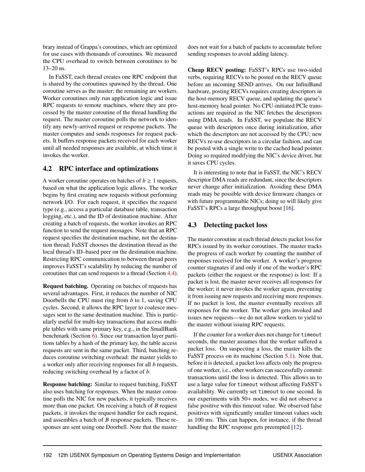brary instead of Grappa's coroutines, which are optimized for use cases with thousands of coroutines. We measured the CPU overhead to switch between coroutines to be 13–20 ns.

In FaSST, each thread creates one RPC endpoint that is shared by the coroutines spawned by the thread. One coroutine serves as the master; the remaining are workers. Worker coroutines only run application logic and issue RPC requests to remote machines, where they are processed by the master coroutine of the thread handling the request. The master coroutine polls the network to identify any newly-arrived request or response packets. The master computes and sends responses for request packets. It buffers response packets received for each worker until all needed responses are available, at which time it invokes the worker.

### 4.2 RPC interface and optimizations

A worker coroutine operates on batches of  $b \ge 1$  requests, based on what the application logic allows. The worker begins by first creating new requests without performing network I/O. For each request, it specifies the request type (e.g., access a particular database table, transaction logging, etc.), and the ID of destination machine. After creating a batch of requests, the worker invokes an RPC function to send the request messages. Note that an RPC request specifies the destination machine, not the destination thread; FaSST chooses the destination thread as the local thread's ID–based peer on the destination machine. Restricting RPC communication to between thread peers improves FaSST's scalability by reducing the number of coroutines that can send requests to a thread (Section 4.4).

Request batching. Operating on batches of requests has several advantages. First, it reduces the number of NIC Doorbells the CPU must ring from *b* to 1, saving CPU cycles. Second, it allows the RPC layer to coalesce messages sent to the same destination machine. This is particularly useful for multi-key transactions that access multiple tables with same primary key, e.g., in the SmallBank benchmark (Section 6). Since our transaction layer partitions tables by a hash of the primary key, the table access requests are sent in the same packet. Third, batching reduces coroutine switching overhead: the master yields to a worker only after receiving responses for all *b* requests, reducing switching overhead by a factor of *b*.

Response batching: Similar to request batching, FaSST also uses batching for responses. When the master coroutine polls the NIC for new packets, it typically receives more than one packet. On receiving a batch of *B* request packets, it invokes the request handler for each request, and assembles a batch of *B* response packets. These responses are sent using one Doorbell. Note that the master does not wait for a batch of packets to accumulate before sending responses to avoid adding latency.

Cheap RECV posting: FaSST's RPCs use two-sided verbs, requiring RECVs to be posted on the RECV queue before an incoming SEND arrives. On our InfiniBand hardware, posting RECVs requires creating descriptors in the host-memory RECV queue, and updating the queue's host-memory head pointer. No CPU-initiated PCIe transactions are required as the NIC fetches the descriptors using DMA reads. In FaSST, we populate the RECV queue with descriptors once during initialization, after which the descriptors are not accessed by the CPU; new RECVs re-use descriptors in a circular fashion, and can be posted with a single write to the cached head pointer. Doing so required modifying the NIC's device driver, but it saves CPU cycles.

It is interesting to note that in FaSST, the NIC's RECV descriptor DMA reads are redundant, since the descriptors never change after initialization. Avoiding these DMA reads may be possible with device firmware changes or with future programmable NICs; doing so will likely give FaSST's RPCs a large throughput boost [16].

### 4.3 Detecting packet loss

The master coroutine at each thread detects packet loss for RPCs issued by its worker coroutines. The master tracks the progress of each worker by counting the number of responses received for the worker. A worker's progress counter stagnates if and only if one of the worker's RPC packets (either the request or the response) is lost: If a packet is lost, the master never receives all responses for the worker; it never invokes the worker again, preventing it from issuing new requests and receiving more responses. If no packet is lost, the master eventually receives all responses for the worker. The worker gets invoked and issues new requests—we do not allow workers to yield to the master without issuing RPC requests.

If the counter for a worker does not change for timeout seconds, the master assumes that the worker suffered a packet loss. On suspecting a loss, the master kills the FaSST process on its machine (Section 5.1). Note that, before it is detected, a packet loss affects only the progress of one worker, i.e., other workers can successfully commit transactions until the loss is detected. This allows us to use a large value for timeout without affecting FaSST's availability. We currently set timeout to one second. In our experiments with 50+ nodes, we did not observe a false positive with this timeout value. We observed false positives with significantly smaller timeout values such as 100 ms. This can happen, for instance, if the thread handling the RPC response gets preempted [12].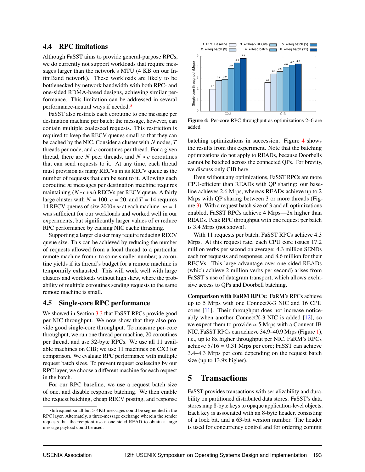### **4.4 RPC limitations**

Although FaSST aims to provide general-purpose RPCs, we do currently not support workloads that require messages larger than the network's MTU (4 KB on our InfiniBand network). These workloads are likely to be bottlenecked by network bandwidth with both RPC- and one-sided RDMA-based designs, achieving similar performance. This limitation can be addressed in several performance-neutral ways if needed.<sup>2</sup>

FaSST also restricts each coroutine to one message per destination machine per batch; the message, however, can contain multiple coalesced requests. This restriction is required to keep the RECV queues small so that they can be cached by the NIC. Consider a cluster with  $N$  nodes,  $T$ threads per node, and  $c$  coroutines per thread. For a given thread, there are  $N$  peer threads, and  $N * c$  coroutines that can send requests to it. At any time, each thread must provision as many RECVs in its RECV queue as the number of requests that can be sent to it. Allowing each coroutine  $m$  messages per destination machine requires maintaining  $(N * c * m)$  RECVs per RECV queue. A fairly large cluster with  $N = 100$ ,  $c = 20$ , and  $T = 14$  requires 14 RECV queues of size  $2000 \times m$  at each machine.  $m = 1$ was sufficient for our workloads and worked well in our experiments, but significantly larger values of  $m$  reduce RPC performance by causing NIC cache thrashing.

Supporting a larger cluster may require reducing RECV queue size. This can be achieved by reducing the number of requests allowed from a local thread to a particular remote machine from c to some smaller number; a coroutine yields if its thread's budget for a remote machine is temporarily exhausted. This will work well with large clusters and workloads without high skew, where the probability of multiple coroutines sending requests to the same remote machine is small.

#### **Single-core RPC performance** 4.5

We showed in Section 3.3 that FaSST RPCs provide good per-NIC throughput. We now show that they also provide good single-core throughput. To measure per-core throughput, we run one thread per machine, 20 coroutines per thread, and use 32-byte RPCs. We use all 11 available machines on CIB; we use 11 machines on CX3 for comparison. We evaluate RPC performance with multiple request batch sizes. To prevent request coalescing by our RPC layer, we choose a different machine for each request in the batch.

For our RPC baseline, we use a request batch size of one, and disable response batching. We then enable the request batching, cheap RECV posting, and response



Figure 4: Per-core RPC throughput as optimizations 2–6 are added

batching optimizations in succession. Figure 4 shows the results from this experiment. Note that the batching optimizations do not apply to READs, because Doorbells cannot be batched across the connected OPs. For brevity, we discuss only CIB here.

Even without any optimizations, FaSST RPCs are more CPU-efficient than READs with QP sharing: our baseline achieves 2.6 Mrps, whereas READs achieve up to 2 Mrps with QP sharing between 3 or more threads (Fig $ure 3)$ . With a request batch size of 3 and all optimizations enabled, FaSST RPCs achieve 4 Mrps-2x higher than READs. Peak RPC throughput with one request per batch is 3.4 Mrps (not shown).

With 11 requests per batch, FaSST RPCs achieve 4.3 Mrps. At this request rate, each CPU core issues 17.2 million verbs per second on average: 4.3 million SENDs each for requests and responses, and 8.6 million for their RECVs. This large advantage over one-sided READs (which achieve 2 million verbs per second) arises from FaSST's use of datagram transport, which allows exclusive access to QPs and Doorbell batching.

**Comparison with FaRM RPCs: FaRM's RPCs achieve** up to 5 Mrps with one Connect X-3 NIC and 16 CPU cores [11]. Their throughput does not increase noticeably when another ConnectX-3 NIC is added  $[12]$ , so we expect them to provide  $\approx$  5 Mrps with a Connect-IB NIC. FaSST RPCs can achieve 34.9–40.9 Mrps (Figure 1), i.e., up to 8x higher throughput per NIC. FaRM's RPCs achieve  $5/16 = 0.31$  Mrps per core; FaSST can achieve 3.4–4.3 Mrps per core depending on the request batch size (up to 13.9x higher).

#### 5 **Transactions**

FaSST provides transactions with serializability and durability on partitioned distributed data stores. FaSST's data stores map 8-byte keys to opaque application-level objects. Each key is associated with an 8-byte header, consisting of a lock bit, and a 63-bit version number. The header is used for concurrency control and for ordering commit

<sup>&</sup>lt;sup>2</sup>Infrequent small but > 4KB messages could be segmented in the RPC layer. Alternately, a three-message exchange wherein the sender requests that the recipient use a one-sided READ to obtain a large message payload could be used.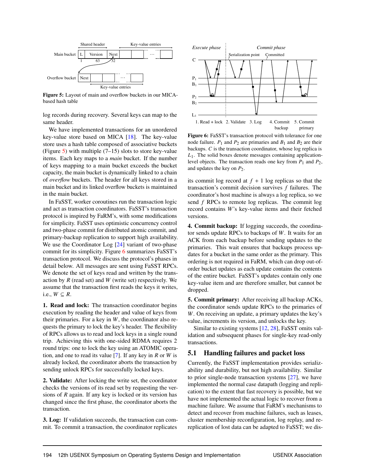

Figure 5: Layout of main and overflow buckets in our MICAbased hash table

log records during recovery. Several keys can map to the same header.

We have implemented transactions for an unordered key-value store based on MICA [18]. The key-value store uses a hash table composed of associative buckets (Figure 5) with multiple  $(7-15)$  slots to store key-value items. Each key maps to a *main* bucket. If the number of keys mapping to a main bucket exceeds the bucket capacity, the main bucket is dynamically linked to a chain of *overflow* buckets. The header for all keys stored in a main bucket and its linked overflow buckets is maintained in the main bucket.

In FaSST, worker coroutines run the transaction logic and act as transaction coordinators. FaSST's transaction protocol is inspired by FaRM's, with some modifications for simplicity. FaSST uses optimistic concurrency control and two-phase commit for distributed atomic commit, and primary-backup replication to support high availability. We use the Coordinator Log [24] variant of two-phase commit for its simplicity. Figure 6 summarizes FaSST's transaction protocol. We discuss the protocol's phases in detail below. All messages are sent using FaSST RPCs. We denote the set of keys read and written by the transaction by *R* (read set) and *W* (write set) respectively. We assume that the transaction first reads the keys it writes, i.e.,  $W \subseteq R$ .

1. Read and lock: The transaction coordinator begins execution by reading the header and value of keys from their primaries. For a key in *W*, the coordinator also requests the primary to lock the key's header. The flexibility of RPCs allows us to read and lock keys in a single round trip. Achieving this with one-sided RDMA requires 2 round trips: one to lock the key using an ATOMIC operation, and one to read its value [7]. If any key in *R* or *W* is already locked, the coordinator aborts the transaction by sending unlock RPCs for successfully locked keys.

2. Validate: After locking the write set, the coordinator checks the versions of its read set by requesting the versions of *R* again. If any key is locked or its version has changed since the first phase, the coordinator aborts the transaction.

3. Log: If validation succeeds, the transaction can commit. To commit a transaction, the coordinator replicates



Figure 6: FaSST's transaction protocol with tolerance for one node failure.  $P_1$  and  $P_2$  are primaries and  $B_1$  and  $B_2$  are their backups. *C* is the transaction coordinator, whose log replica is *L*1. The solid boxes denote messages containing applicationlevel objects. The transaction reads one key from  $P_1$  and  $P_2$ , and updates the key on *P*2.

its commit log record at  $f + 1$  log replicas so that the transaction's commit decision survives *f* failures. The coordinator's host machine is always a log replica, so we send *f* RPCs to remote log replicas. The commit log record contains *W*'s key-value items and their fetched versions.

4. Commit backup: If logging succeeds, the coordinator sends update RPCs to backups of *W*. It waits for an ACK from each backup before sending updates to the primaries. This wait ensures that backups process updates for a bucket in the same order as the primary. This ordering is not required in FaRM, which can drop out-oforder bucket updates as each update contains the contents of the entire bucket. FaSST's updates contain only one key-value item and are therefore smaller, but cannot be dropped.

5. Commit primary: After receiving all backup ACKs, the coordinator sends update RPCs to the primaries of *W*. On receiving an update, a primary updates the key's value, increments its version, and unlocks the key.

Similar to existing systems [12, 28], FaSST omits validation and subsequent phases for single-key read-only transactions.

### 5.1 Handling failures and packet loss

Currently, the FaSST implementation provides serializability and durability, but not high availability. Similar to prior single-node transaction systems [27], we have implemented the normal case datapath (logging and replication) to the extent that fast recovery is possible, but we have not implemented the actual logic to recover from a machine failure. We assume that FaRM's mechanisms to detect and recover from machine failures, such as leases, cluster membership reconfiguration, log replay, and rereplication of lost data can be adapted to FaSST; we dis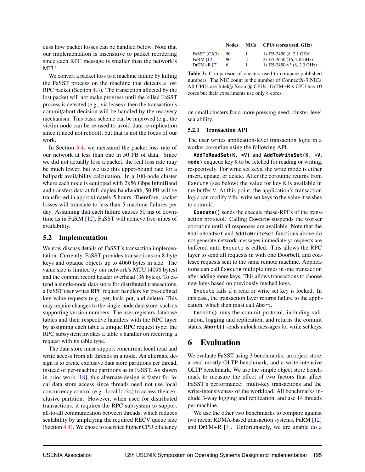cuss how packet losses can be handled below. Note that our implementation is insensitive to packet reordering since each RPC message is smaller than the network's MTU.

We convert a packet loss to a machine failure by killing the FaSST process on the machine that detects a lost RPC packet (Section 4.3). The transaction affected by the lost packet will not make progress until the killed FaSST process is detected (e.g., via leases); then the transaction's commit/abort decision will be handled by the recovery mechanism. This basic scheme can be improved (e.g., the victim node can be re-used to avoid data re-replication since it need not reboot), but that is not the focus of our work.

In Section 3.4, we measured the packet loss rate of our network at less than one in 50 PB of data. Since we did not actually lose a packet, the real loss rate may be much lower, but we use this upper-bound rate for a ballpark availability calculation. In a 100-node cluster where each node is equipped with 2x56 Gbps InfiniBand and transfers data at full-duplex bandwidth, 50 PB will be transferred in approximately 5 hours. Therefore, packet losses will translate to less than 5 machine failures per day. Assuming that each failure causes 50 ms of downtime as in FaRM [12], FaSST will achieve five-nines of availability.

### 5.2 Implementation

We now discuss details of FaSST's transaction implementation. Currently, FaSST provides transactions on 8-byte keys and opaque objects up to 4060 bytes in size. The value size is limited by our network's MTU (4096 bytes) and the commit record header overhead (36 bytes). To extend a single-node data store for distributed transactions, a FaSST user writes RPC request handlers for pre-defined key-value requests (e.g., get, lock, put, and delete). This may require changes to the single-node data store, such as supporting version numbers. The user registers database tables and their respective handlers with the RPC layer by assigning each table a unique RPC request type; the RPC subsystem invokes a table's handler on receiving a request with its table type.

The data store must support concurrent local read and write access from all threads in a node. An alternate design is to create exclusive data store partitions per thread, instead of per-machine partitions as in FaSST. As shown in prior work [18], this alternate design is faster for local data store access since threads need not use local concurrency control (e.g., local locks) to access their exclusive partition. However, when used for distributed transactions, it requires the RPC subsystem to support all-to-all communication between threads, which reduces scalability by amplifying the required RECV queue size (Section 4.4). We chose to sacrifice higher CPU efficiency

|             | <b>Nodes</b> | <b>NICs</b> | CPUs (cores used, GHz)                   |
|-------------|--------------|-------------|------------------------------------------|
| FaSST (CX3) | -50          |             | $1x E5-2450 (8, 2.1 GHz)$                |
| E-DM 1191   |              |             | $2.55$ DE 2650 (16 2.0 CH <sub>2</sub> ) |

| <b>FaRM [12]</b> | 90. | $2x E5-2650$ (16, 2.0 GHz)                                       |
|------------------|-----|------------------------------------------------------------------|
| $DrTM+R171$      | 6   | $1x E5-2450-v3(8, 2.3 GHz)$                                      |
|                  |     | <b>Table 3:</b> Comparison of clusters used to compare published |

numbers. The NIC count is the number of ConnectX-3 NICs. All CPUs are Intel® Xeon ® CPUs. DrTM+R's CPU has 10 cores but their experiments use only 8 cores.

on small clusters for a more pressing need: cluster-level scalability.

### 5.2.1 Transaction API

The user writes application-level transaction logic in a worker coroutine using the following API.

**AddToReadSet(K, \*V)** and **AddToWriteSet(K, \*V, mode)** enqueue key K to be fetched for reading or writing, respectively. For write set keys, the write mode is either insert, update, or delete. After the coroutine returns from Execute (see below) the value for key K is available in the buffer V. At this point, the application's transaction logic can modify V for write set keys to the value it wishes to commit.

**Execute()** sends the execute phase-RPCs of the transaction protocol. Calling Execute suspends the worker coroutine until all responses are available. Note that the AddToReadSet and AddToWriteSet functions above do not generate network messages immediately: requests are buffered until Execute is called. This allows the RPC layer to send all requests in with one Doorbell, and coalesce requests sent to the same remote machine. Applications can call Execute multiple times in one transaction after adding more keys. This allows transactions to choose new keys based on previously fetched keys.

Execute fails if a read or write set key is locked. In this case, the transaction layer returns failure to the application, which then must call Abort.

**Commit()** runs the commit protocol, including validation, logging and replication, and returns the commit status. **Abort()** sends unlock messages for write set keys.

### 6 Evaluation

We evaluate FaSST using 3 benchmarks: an object store, a read-mostly OLTP benchmark, and a write-intensive OLTP benchmark. We use the simple object store benchmark to measure the effect of two factors that affect FaSST's performance: multi-key transactions and the write-intensiveness of the workload. All benchmarks include 3-way logging and replication, and use 14 threads per machine.

We use the other two benchmarks to compare against two recent RDMA-based transaction systems, FaRM [12] and DrTM+R [7]. Unfortunately, we are unable do a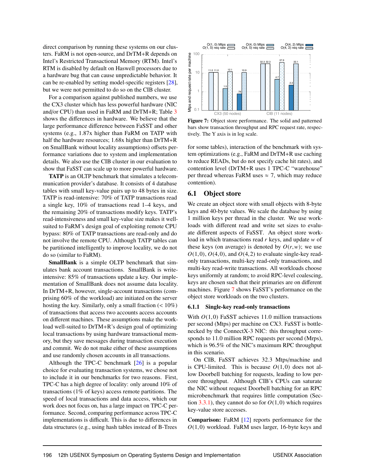direct comparison by running these systems on our clusters. FaRM is not open-source, and DrTM+R depends on Intel's Restricted Transactional Memory (RTM). Intel's RTM is disabled by default on Haswell processors due to a hardware bug that can cause unpredictable behavior. It can be re-enabled by setting model-specific registers  $[28]$ , but we were not permitted to do so on the CIB cluster.

For a comparison against published numbers, we use the CX3 cluster which has less powerful hardware (NIC and/or CPU) than used in FaRM and DrTM+R; Table 3 shows the differences in hardware. We believe that the large performance difference between FaSST and other systems (e.g., 1.87x higher than FaRM on TATP with half the hardware resources; 1.68x higher than DrTM+R on SmallBank without locality assumptions) offsets performance variations due to system and implementation details. We also use the CIB cluster in our evaluation to show that FaSST can scale up to more powerful hardware.

**TATP** is an OLTP benchmark that simulates a telecommunication provider's database. It consists of 4 database tables with small key-value pairs up to 48 bytes in size. TATP is read-intensive: 70% of TATP transactions read a single key, 10% of transactions read 1–4 keys, and the remaining 20% of transactions modify keys. TATP's read-intensiveness and small key-value size makes it wellsuited to FaRM's design goal of exploiting remote CPU bypass: 80% of TATP transactions are read-only and do not involve the remote CPU. Although TATP tables can be partitioned intelligently to improve locality, we do not do so (similar to FaRM).

SmallBank is a simple OLTP benchmark that simulates bank account transactions. SmallBank is writeintensive: 85% of transactions update a key. Our implementation of SmallBank does not assume data locality. In DrTM+R, however, single-account transactions (comprising 60% of the workload) are initiated on the server hosting the key. Similarly, only a small fraction  $(< 10\%)$ of transactions that access two accounts access accounts on different machines. These assumptions make the workload well-suited to DrTM+R's design goal of optimizing local transactions by using hardware transactional memory, but they save messages during transaction execution and commit. We do not make either of these assumptions and use randomly chosen accounts in all transactions.

Although the TPC-C benchmark  $[26]$  is a popular choice for evaluating transaction systems, we chose not to include it in our benchmarks for two reasons. First, TPC-C has a high degree of locality: only around 10% of transactions  $(1\% \text{ of keys})$  access remote partitions. The speed of local transactions and data access, which our work does not focus on, has a large impact on TPC-C performance. Second, comparing performance across TPC-C implementations is difficult. This is due to differences in data structures (e.g., using hash tables instead of B-Trees



Figure 7: Object store performance. The solid and patterned bars show transaction throughput and RPC request rate, respectively. The Y axis is in log scale.

for some tables), interaction of the benchmark with system optimizations (e.g., FaRM and DrTM+R use caching to reduce READs, but do not specify cache hit rates), and contention level (DrTM+R uses 1 TPC-C "warehouse" per thread whereas FaRM uses  $\approx$  7, which may reduce contention).

### 6.1 Object store

We create an object store with small objects with 8-byte keys and 40-byte values. We scale the database by using 1 million keys per thread in the cluster. We use workloads with different read and write set sizes to evaluate different aspects of FaSST. An object store workload in which transactions read  $r$  keys, and update  $w$  of these keys (on average) is denoted by  $O(r, w)$ ; we use  $O(1,0)$ ,  $O(4,0)$ , and  $O(4,2)$  to evaluate single-key readonly transactions, multi-key read-only transactions, and multi-key read-write transactions. All workloads choose keys uniformly at random; to avoid RPC-level coalescing, keys are chosen such that their primaries are on different machines. Figure 7 shows FaSST's performance on the object store workloads on the two clusters.

### 6.1.1 Single-key read-only transactions

With  $O(1,0)$  FaSST achieves 11.0 million transactions per second (Mtps) per machine on CX3. FaSST is bottlenecked by the ConnectX-3 NIC: this throughput corresponds to 11.0 million RPC requests per second (Mrps), which is 96.5% of the NIC's maximum RPC throughput in this scenario.

On CIB, FaSST achieves 32.3 Mtps/machine and is CPU-limited. This is because  $O(1,0)$  does not allow Doorbell batching for requests, leading to low percore throughput. Although CIB's CPUs can saturate the NIC without request Doorbell batching for an RPC microbenchmark that requires little computation (Section 3.3.1), they cannot do so for  $O(1,0)$  which requires key-value store accesses.

**Comparison:** FaRM  $[12]$  reports performance for the  $O(1,0)$  workload. FaRM uses larger, 16-byte keys and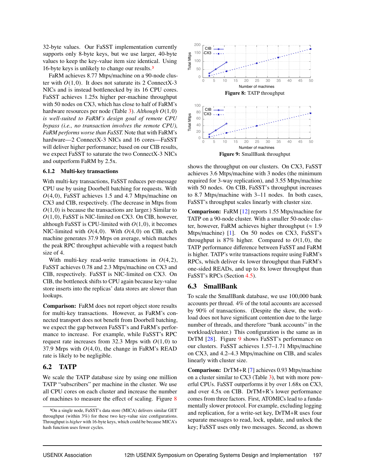32-byte values. Our FaSST implementation currently supports only 8-byte keys, but we use larger, 40-byte values to keep the key-value item size identical. Using 16-byte keys is unlikely to change our results.3

FaRM achieves 8.77 Mtps/machine on a 90-node cluster with  $O(1,0)$ . It does not saturate its 2 ConnectX-3 NICs and is instead bottlenecked by its 16 CPU cores. FaSST achieves 1.25x higher per-machine throughput with 50 nodes on CX3, which has close to half of FaRM's hardware resources per node (Table 3). *Although <sup>O</sup>*(1,0) *is well-suited to FaRM's design goal of remote CPU bypass (i.e., no transaction involves the remote CPU), FaRM performs worse than FaSST.* Note that with FaRM's hardware—2 ConnectX-3 NICs and 16 cores—FaSST will deliver higher performance; based on our CIB results, we expect FaSST to saturate the two ConnectX-3 NICs and outperform FaRM by 2.5x. ranchwa achieves sort with propination on a sole-nouse cluster.<br>
The War and is instead bottlenecked by its 16 CPU close.<br>
NIC and is instead bottlenecked by its 16 CPU close.<br>
NIC and is not allow the sole of the state o

### 6.1.2 Multi-key transactions

With multi-key transactions, FaSST reduces per-message CPU use by using Doorbell batching for requests. With *<sup>O</sup>*(4,0), FaSST achieves 1.5 and 4.7 Mtps/machine on CX3 and CIB, respectively. (The decrease in Mtps from  $O(1,0)$  is because the transactions are larger.) Similar to *<sup>O</sup>*(1,0), FaSST is NIC-limited on CX3. On CIB, however, although FaSST is CPU-limited with  $O(1,0)$ , it becomes NIC-limited with *<sup>O</sup>*(4,0). With *<sup>O</sup>*(4,0) on CIB, each machine generates 37.9 Mrps on average, which matches the peak RPC throughput achievable with a request batch size of 4.

With multi-key read-write transactions in *<sup>O</sup>*(4,2), FaSST achieves 0.78 and 2.3 Mtps/machine on CX3 and CIB, respectively. FaSST is NIC-limited on CX3. On CIB, the bottleneck shifts to CPU again because key-value store inserts into the replicas' data stores are slower than lookups.

Comparison: FaRM does not report object store results for multi-key transactions. However, as FaRM's connected transport does not benefit from Doorbell batching, we expect the gap between FaSST's and FaRM's performance to increase. For example, while FaSST's RPC request rate increases from 32.3 Mrps with  $O(1,0)$  to 37.9 Mrps with  $O(4,0)$ , the change in FaRM's READ rate is likely to be negligible.

### 6.2 TATP

We scale the TATP database size by using one million TATP "subscribers" per machine in the cluster. We use all CPU cores on each cluster and increase the number of machines to measure the effect of scaling. Figure 8



shows the throughput on our clusters. On CX3, FaSST achieves 3.6 Mtps/machine with 3 nodes (the minimum required for 3-way replication), and 3.55 Mtps/machine with 50 nodes. On CIB, FaSST's throughput increases to 8.7 Mtps/machine with 3–11 nodes. In both cases, FaSST's throughput scales linearly with cluster size.

Comparison: FaRM [12] reports 1.55 Mtps/machine for TATP on a 90-node cluster. With a smaller 50-node cluster, however, FaRM achieves higher throughput ( $\approx 1.9$ Mtps/machine) [1]. On 50 nodes on CX3, FaSST's throughput is  $87\%$  higher. Compared to  $O(1,0)$ , the TATP performance difference between FaSST and FaRM is higher. TATP's write transactions require using FaRM's RPCs, which deliver 4x lower throughput than FaRM's one-sided READs, and up to 8x lower throughput than FaSST's RPCs (Section 4.5).

### 6.3 SmallBank

To scale the SmallBank database, we use 100,000 bank accounts per thread. 4% of the total accounts are accessed by 90% of transactions. (Despite the skew, the workload does not have significant contention due to the large number of threads, and therefore "bank accounts" in the workload/cluster.) This configuration is the same as in DrTM [28]. Figure 9 shows FaSST's performance on our clusters. FaSST achieves 1.57–1.71 Mtps/machine on CX3, and 4.2–4.3 Mtps/machine on CIB, and scales linearly with cluster size.

Comparison: DrTM+R [7] achieves 0.93 Mtps/machine on a cluster similar to CX3 (Table 3), but with more powerful CPUs. FaSST outperforms it by over 1.68x on CX3, and over 4.5x on CIB. DrTM+R's lower performance comes from three factors. First, ATOMICs lead to a fundamentally slower protocol. For example, excluding logging and replication, for a write-set key, DrTM+R uses four separate messages to read, lock, update, and unlock the key; FaSST uses only two messages. Second, as shown

<sup>3</sup>On a single node, FaSST's data store (MICA) delivers similar GET throughput (within 3%) for these two key-value size configurations. Throughput is *higher* with 16-byte keys, which could be because MICA's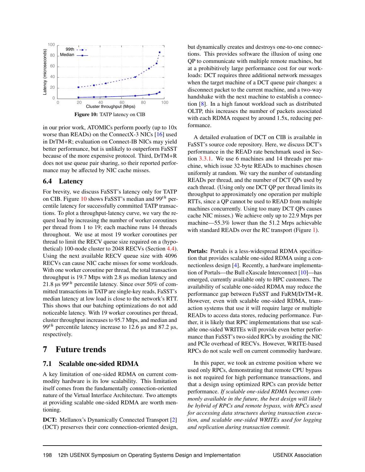

in our prior work, ATOMICs perform poorly (up to 10x worse than READs) on the ConnectX-3 NICs [16] used in DrTM+R; evaluation on Connect-IB NICs may yield better performance, but is unlikely to outperform FaSST because of the more expensive protocol. Third, DrTM+R does not use queue pair sharing, so their reported performance may be affected by NIC cache misses.

### 6.4 Latency

For brevity, we discuss FaSST's latency only for TATP on CIB. Figure 10 shows FaSST's median and  $99<sup>th</sup>$  percentile latency for successfully committed TATP transactions. To plot a throughput-latency curve, we vary the request load by increasing the number of worker coroutines per thread from 1 to 19; each machine runs 14 threads throughout. We use at most 19 worker coroutines per thread to limit the RECV queue size required on a (hypothetical) 100-node cluster to 2048 RECVs (Section 4.4). Using the next available RECV queue size with 4096 RECVs can cause NIC cache misses for some workloads. With one worker coroutine per thread, the total transaction throughput is 19.7 Mtps with 2.8 µs median latency and 21.8  $\mu$ s 99<sup>th</sup> percentile latency. Since over 50% of committed transactions in TATP are single-key reads, FaSST's median latency at low load is close to the network's RTT. This shows that our batching optimizations do not add noticeable latency. With 19 worker coroutines per thread, cluster throughput increases to 95.7 Mtps, and median and 99<sup>th</sup> percentile latency increase to 12.6  $\mu$ s and 87.2  $\mu$ s, respectively.

### 7 Future trends

### 7.1 Scalable one-sided RDMA

A key limitation of one-sided RDMA on current commodity hardware is its low scalability. This limitation itself comes from the fundamentally connection-oriented nature of the Virtual Interface Architecture. Two attempts at providing scalable one-sided RDMA are worth mentioning.

DCT: Mellanox's Dynamically Connected Transport [2] (DCT) preserves their core connection-oriented design, but dynamically creates and destroys one-to-one connections. This provides software the illusion of using one QP to communicate with multiple remote machines, but at a prohibitively large performance cost for our workloads: DCT requires three additional network messages when the target machine of a DCT queue pair changes: a disconnect packet to the current machine, and a two-way handshake with the next machine to establish a connection [8]. In a high fanout workload such as distributed OLTP, this increases the number of packets associated with each RDMA request by around 1.5x, reducing performance.

A detailed evaluation of DCT on CIB is available in FaSST's source code repository. Here, we discuss DCT's performance in the READ rate benchmark used in Section 3.3.1. We use 6 machines and 14 threads per machine, which issue 32-byte READs to machines chosen uniformly at random. We vary the number of outstanding READs per thread, and the number of DCT QPs used by each thread. (Using only one DCT QP per thread limits its throughput to approximately one operation per multiple RTTs, since a QP cannot be used to READ from multiple machines concurrently. Using too many DCT QPs causes cache NIC misses.) We achieve only up to 22.9 Mrps per machine—55.3% lower than the 51.2 Mrps achievable with standard READs over the RC transport (Figure 1).

Portals: Portals is a less-widespread RDMA specification that provides scalable one-sided RDMA using a connectionless design [4]. Recently, a hardware implementation of Portals—the Bull eXascale Interconnect [10]—has emerged, currently available only to HPC customers. The availability of scalable one-sided RDMA may reduce the performance gap between FaSST and FaRM/DrTM+R. However, even with scalable one-sided RDMA, transaction systems that use it will require large or multiple READs to access data stores, reducing performance. Further, it is likely that RPC implementations that use scalable one-sided WRITEs will provide even better performance than FaSST's two-sided RPCs by avoiding the NIC and PCIe overhead of RECVs. However, WRITE-based RPCs do not scale well on current commodity hardware.

In this paper, we took an extreme position where we used only RPCs, demonstrating that remote CPU bypass is not required for high performance transactions, and that a design using optimized RPCs can provide better performance. *If scalable one-sided RDMA becomes commonly available in the future, the best design will likely be hybrid of RPCs and remote bypass, with RPCs used for accessing data structures during transaction execution, and scalable one-sided WRITEs used for logging and replication during transaction commit.*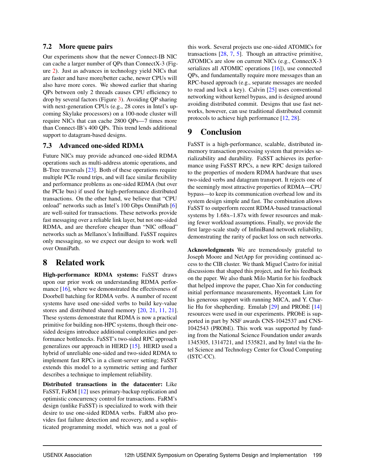### 7.2 More queue pairs

Our experiments show that the newer Connect-IB NIC can cache a larger number of QPs than ConnectX-3 (Figure 2). Just as advances in technology yield NICs that are faster and have more/better cache, newer CPUs will also have more cores. We showed earlier that sharing QPs between only 2 threads causes CPU efficiency to drop by several factors (Figure 3). Avoiding QP sharing with next-generation CPUs (e.g., 28 cores in Intel's upcoming Skylake processors) on a 100-node cluster will require NICs that can cache 2800 QPs—7 times more than Connect-IB's 400 QPs. This trend lends additional support to datagram-based designs.

### 7.3 Advanced one-sided RDMA

Future NICs may provide advanced one-sided RDMA operations such as multi-address atomic operations, and B-Tree traversals [23]. Both of these operations require multiple PCIe round trips, and will face similar flexibility and performance problems as one-sided RDMA (but over the PCIe bus) if used for high-performance distributed transactions. On the other hand, we believe that "CPU onload" networks such as Intel's 100 Gbps OmniPath [6] are well-suited for transactions. These networks provide fast messaging over a reliable link layer, but not one-sided RDMA, and are therefore cheaper than "NIC offload" networks such as Mellanox's InfiniBand. FaSST requires only messaging, so we expect our design to work well over OmniPath.

## 8 Related work

High-performance RDMA systems: FaSST draws upon our prior work on understanding RDMA performance [16], where we demonstrated the effectiveness of Doorbell batching for RDMA verbs. A number of recent systems have used one-sided verbs to build key-value stores and distributed shared memory [20, 21, 11, 21]. These systems demonstrate that RDMA is now a practical primitive for building non-HPC systems, though their onesided designs introduce additional complexities and performance bottlenecks. FaSST's two-sided RPC approach generalizes our approach in HERD [15]. HERD used a hybrid of unreliable one-sided and two-sided RDMA to implement fast RPCs in a client-server setting; FaSST extends this model to a symmetric setting and further describes a technique to implement reliability.

Distributed transactions in the datacenter: Like FaSST, FaRM [12] uses primary-backup replication and optimistic concurrency control for transactions. FaRM's design (unlike FaSST) is specialized to work with their desire to use one-sided RDMA verbs. FaRM also provides fast failure detection and recovery, and a sophisticated programming model, which was not a goal of

this work. Several projects use one-sided ATOMICs for transactions [28, 7, 5]. Though an attractive primitive, ATOMICs are slow on current NICs (e.g., ConnectX-3 serializes all ATOMIC operations [16]), use connected QPs, and fundamentally require more messages than an RPC-based approach (e.g., separate messages are needed to read and lock a key). Calvin [25] uses conventional networking without kernel bypass, and is designed around avoiding distributed commit. Designs that use fast networks, however, can use traditional distributed commit protocols to achieve high performance [12, 28].

## 9 Conclusion

FaSST is a high-performance, scalable, distributed inmemory transaction processing system that provides serializability and durability. FaSST achieves its performance using FaSST RPCs, a new RPC design tailored to the properties of modern RDMA hardware that uses two-sided verbs and datagram transport. It rejects one of the seemingly most attractive properties of RDMA—CPU bypass—to keep its communication overhead low and its system design simple and fast. The combination allows FaSST to outperform recent RDMA-based transactional systems by 1.68x–1.87x with fewer resources and making fewer workload assumptions. Finally, we provide the first large-scale study of InfiniBand network reliability, demonstrating the rarity of packet loss on such networks.

Acknowledgments We are tremendously grateful to Joseph Moore and NetApp for providing continued access to the CIB cluster. We thank Miguel Castro for initial discussions that shaped this project, and for his feedback on the paper. We also thank Milo Martin for his feedback that helped improve the paper, Chao Xin for conducting initial performance measurements, Hyeontaek Lim for his generous support with running MICA, and Y. Charlie Hu for shepherding. Emulab [29] and PRObE [14] resources were used in our experiments. PRObE is supported in part by NSF awards CNS-1042537 and CNS-1042543 (PRObE). This work was supported by funding from the National Science Foundation under awards 1345305, 1314721, and 1535821, and by Intel via the Intel Science and Technology Center for Cloud Computing (ISTC-CC).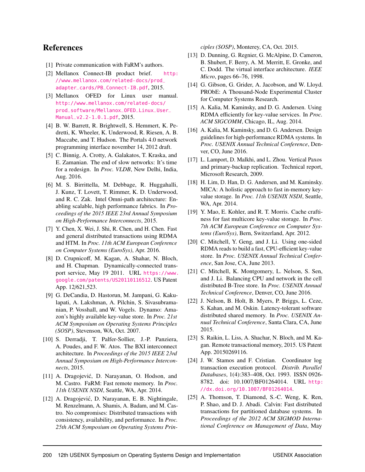### References

- [1] Private communication with FaRM's authors.
- [2] Mellanox Connect-IB product brief. [http:](http://www.mellanox.com/related-docs/prod_adapter_cards/PB_Connect-IB.pdf) [//www.mellanox.com/related-docs/prod\\_](http://www.mellanox.com/related-docs/prod_adapter_cards/PB_Connect-IB.pdf) [adapter\\_cards/PB\\_Connect-IB.pdf](http://www.mellanox.com/related-docs/prod_adapter_cards/PB_Connect-IB.pdf), 2015.
- [3] Mellanox OFED for Linux user manual. [http://www.mellanox.com/related-docs/](http://www.mellanox.com/related-docs/prod_software/Mellanox_OFED_Linux_User_Manual_v2.2-1.0.1.pdf) [prod\\_software/Mellanox\\_OFED\\_Linux\\_User\\_](http://www.mellanox.com/related-docs/prod_software/Mellanox_OFED_Linux_User_Manual_v2.2-1.0.1.pdf) [Manual\\_v2.2-1.0.1.pdf](http://www.mellanox.com/related-docs/prod_software/Mellanox_OFED_Linux_User_Manual_v2.2-1.0.1.pdf), 2015.
- [4] B. W. Barrett, R. Brightwell, S. Hemmert, K. Pedretti, K. Wheeler, K. Underwood, R. Riesen, A. B. Maccabe, and T. Hudson. The Portals 4.0 network programming interface november 14, 2012 draft.
- [5] C. Binnig, A. Crotty, A. Galakatos, T. Kraska, and E. Zamanian. The end of slow networks: It's time for a redesign. In *Proc. VLDB*, New Delhi, India, Aug. 2016.
- [6] M. S. Birrittella, M. Debbage, R. Huggahalli, J. Kunz, T. Lovett, T. Rimmer, K. D. Underwood, and R. C. Zak. Intel Omni-path architecture: Enabling scalable, high performance fabrics. In *Proceedings of the 2015 IEEE 23rd Annual Symposium on High-Performance Interconnects*, 2015.
- [7] Y. Chen, X. Wei, J. Shi, R. Chen, and H. Chen. Fast and general distributed transactions using RDMA and HTM. In *Proc. 11th ACM European Conference on Computer Systems (EuroSys)*, Apr. 2016.
- [8] D. Crupnicoff, M. Kagan, A. Shahar, N. Bloch, and H. Chapman. Dynamically-connected transport service, May 19 2011. URL [https://www.](https://www.google.com/patents/US20110116512) [google.com/patents/US20110116512](https://www.google.com/patents/US20110116512). US Patent App. 12/621,523.
- [9] G. DeCandia, D. Hastorun, M. Jampani, G. Kakulapati, A. Lakshman, A. Pilchin, S. Sivasubramanian, P. Vosshall, and W. Vogels. Dynamo: Amazon's highly available key-value store. In *Proc. 21st ACM Symposium on Operating Systems Principles (SOSP)*, Stevenson, WA, Oct. 2007.
- [10] S. Derradji, T. Palfer-Sollier, J.-P. Panziera, A. Poudes, and F. W. Atos. The BXI interconnect architecture. In *Proceedings of the 2015 IEEE 23rd Annual Symposium on High-Performance Interconnects*, 2015.
- [11] A. Dragojević, D. Narayanan, O. Hodson, and M. Castro. FaRM: Fast remote memory. In *Proc. 11th USENIX NSDI*, Seattle, WA, Apr. 2014.
- [12] A. Dragojević, D. Narayanan, E. B. Nightingale, M. Renzelmann, A. Shamis, A. Badam, and M. Castro. No compromises: Distributed transactions with consistency, availability, and performance. In *Proc. 25th ACM Symposium on Operating Systems Prin-*

*ciples (SOSP)*, Monterey, CA, Oct. 2015.

- [13] D. Dunning, G. Regnier, G. McAlpine, D. Cameron, B. Shubert, F. Berry, A. M. Merritt, E. Gronke, and C. Dodd. The virtual interface architecture. *IEEE Micro*, pages 66–76, 1998.
- [14] G. Gibson, G. Grider, A. Jacobson, and W. Lloyd. PRObE: A Thousand-Node Experimental Cluster for Computer Systems Research.
- [15] A. Kalia, M. Kaminsky, and D. G. Andersen. Using RDMA efficiently for key-value services. In *Proc. ACM SIGCOMM*, Chicago, IL, Aug. 2014.
- [16] A. Kalia, M. Kaminsky, and D. G. Andersen. Design guidelines for high-performance RDMA systems. In *Proc. USENIX Annual Technical Conference*, Denver, CO, June 2016.
- [17] L. Lamport, D. Malkhi, and L. Zhou. Vertical Paxos and primary-backup replication. Technical report, Microsoft Research, 2009.
- [18] H. Lim, D. Han, D. G. Andersen, and M. Kaminsky. MICA: A holistic approach to fast in-memory keyvalue storage. In *Proc. 11th USENIX NSDI*, Seattle, WA, Apr. 2014.
- [19] Y. Mao, E. Kohler, and R. T. Morris. Cache craftiness for fast multicore key-value storage. In *Proc. 7th ACM European Conference on Computer Systems (EuroSys)*, Bern, Switzerland, Apr. 2012.
- [20] C. Mitchell, Y. Geng, and J. Li. Using one-sided RDMA reads to build a fast, CPU-efficient key-value store. In *Proc. USENIX Annual Technical Conference*, San Jose, CA, June 2013.
- [21] C. Mitchell, K. Montgomery, L. Nelson, S. Sen, and J. Li. Balancing CPU and network in the cell distributed B-Tree store. In *Proc. USENIX Annual Technical Conference*, Denver, CO, June 2016.
- [22] J. Nelson, B. Holt, B. Myers, P. Briggs, L. Ceze, S. Kahan, and M. Oskin. Latency-tolerant software distributed shared memory. In *Proc. USENIX Annual Technical Conference*, Santa Clara, CA, June 2015.
- [23] S. Raikin, L. Liss, A. Shachar, N. Bloch, and M. Kagan. Remote transactional memory, 2015. US Patent App. 20150269116.
- [24] J. W. Stamos and F. Cristian. Coordinator log transaction execution protocol. *Distrib. Parallel Databases*, 1(4):383–408, Oct. 1993. ISSN 0926- 8782. doi: 10.1007/BF01264014. URL [http:](http://dx.doi.org/10.1007/BF01264014) [//dx.doi.org/10.1007/BF01264014](http://dx.doi.org/10.1007/BF01264014).
- [25] A. Thomson, T. Diamond, S.-C. Weng, K. Ren, P. Shao, and D. J. Abadi. Calvin: Fast distributed transactions for partitioned database systems. In *Proceedings of the 2012 ACM SIGMOD International Conference on Management of Data*, May